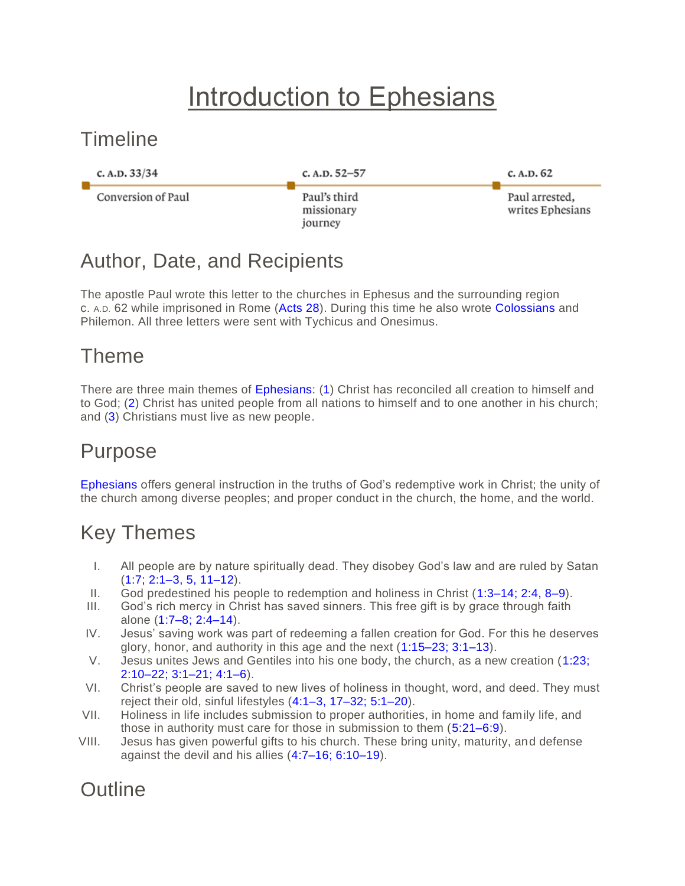# Introduction to Ephesians

#### **Timeline**



#### Author, Date, and Recipients

The apostle Paul wrote this letter to the churches in Ephesus and the surrounding region c. A.D. 62 while imprisoned in Rome [\(Acts 28\)](https://www.esv.org/Acts+28%3A1%E2%80%9331/). During this time he also wrote [Colossians](https://www.esv.org/Colossians+1%3A1%E2%80%934%3A18/) and Philemon. All three letters were sent with Tychicus and Onesimus.

#### Theme

There are three main themes of [Ephesians:](https://www.esv.org/Ephesians+1%3A1%E2%80%936%3A24/) [\(1\)](https://www.esv.org/Ephesians+1%3A1%E2%80%9323/) Christ has reconciled all creation to himself and to God; [\(2\)](https://www.esv.org/Ephesians+2%3A1%E2%80%9322/) Christ has united people from all nations to himself and to one another in his church; and [\(3\)](https://www.esv.org/Ephesians+3%3A1%E2%80%9321/) Christians must live as new people.

#### Purpose

[Ephesians](https://www.esv.org/Ephesians+1%3A1%E2%80%936%3A24/) offers general instruction in the truths of God's redemptive work in Christ; the unity of the church among diverse peoples; and proper conduct in the church, the home, and the world.

## Key Themes

- I. All people are by nature spiritually dead. They disobey God's law and are ruled by Satan [\(1:7; 2:1–3, 5, 11–12\)](https://www.esv.org/Ephesians+1%3A7%2C+2%3A1%E2%80%933%2C+2%3A5%2C+2%3A11%E2%80%9312/).
- II. God predestined his people to redemption and holiness in Christ [\(1:3–14; 2:4, 8–9\)](https://www.esv.org/Ephesians+1%3A3%E2%80%9314%2C+2%3A4%2C+2%3A8%E2%80%939/).
- III. God's rich mercy in Christ has saved sinners. This free gift is by grace through faith alone [\(1:7–8; 2:4–14\)](https://www.esv.org/Ephesians+1%3A7%E2%80%938%2C+2%3A4%E2%80%9314/).
- IV. Jesus' saving work was part of redeeming a fallen creation for God. For this he deserves glory, honor, and authority in this age and the next [\(1:15–23; 3:1–13\)](https://www.esv.org/Ephesians+1%3A15%E2%80%9323%2C+3%3A1%E2%80%9313/).
- V. Jesus unites Jews and Gentiles into his one body, the church, as a new creation [\(1:23;](https://www.esv.org/Ephesians+1%3A23%2C+2%3A10%E2%80%9322%2C+3%3A1%E2%80%9321%2C+4%3A1%E2%80%936/)  [2:10–22; 3:1–21; 4:1–6\)](https://www.esv.org/Ephesians+1%3A23%2C+2%3A10%E2%80%9322%2C+3%3A1%E2%80%9321%2C+4%3A1%E2%80%936/).
- VI. Christ's people are saved to new lives of holiness in thought, word, and deed. They must reject their old, sinful lifestyles [\(4:1–3, 17–32; 5:1–20\)](https://www.esv.org/Ephesians+4%3A1%E2%80%933%2C+4%3A17%E2%80%9332%2C+5%3A1%E2%80%9320/).
- VII. Holiness in life includes submission to proper authorities, in home and family life, and those in authority must care for those in submission to them [\(5:21–6:9\)](https://www.esv.org/Ephesians+5%3A21%E2%80%936%3A9/).
- VIII. Jesus has given powerful gifts to his church. These bring unity, maturity, and defense against the devil and his allies [\(4:7–16; 6:10–19\)](https://www.esv.org/Ephesians+4%3A7%E2%80%9316%2C+6%3A10%E2%80%9319/).

### **Outline**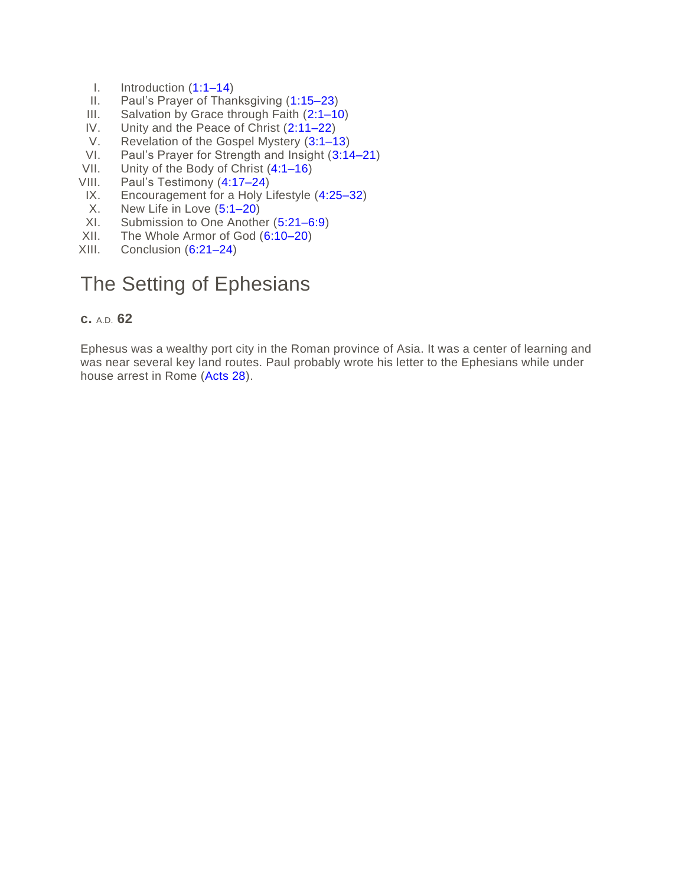- I. Introduction [\(1:1–14\)](https://www.esv.org/Ephesians+1%3A1%E2%80%9314/)
- II. Paul's Prayer of Thanksgiving [\(1:15–23\)](https://www.esv.org/Ephesians+1%3A15%E2%80%9323/)
- III. Salvation by Grace through Faith [\(2:1–10\)](https://www.esv.org/Ephesians+2%3A1%E2%80%9310/)
- IV. Unity and the Peace of Christ [\(2:11–22\)](https://www.esv.org/Ephesians+2%3A11%E2%80%9322/)<br>V. Revelation of the Gospel Mystery (3:1–1
- V. Revelation of the Gospel Mystery [\(3:1–13\)](https://www.esv.org/Ephesians+3%3A1%E2%80%9313/)<br>VI. Paul's Prayer for Strength and Insight (3:14
- Paul's Prayer for Strength and Insight [\(3:14–21\)](https://www.esv.org/Ephesians+3%3A14%E2%80%9321/)
- VII. Unity of the Body of Christ [\(4:1–16\)](https://www.esv.org/Ephesians+4%3A1%E2%80%9316/)
- VIII. Paul's Testimony [\(4:17–24\)](https://www.esv.org/Ephesians+4%3A17%E2%80%9324/)
- IX. Encouragement for a Holy Lifestyle [\(4:25–32\)](https://www.esv.org/Ephesians+4%3A25%E2%80%9332/)
- X. New Life in Love [\(5:1–20\)](https://www.esv.org/Ephesians+5%3A1%E2%80%9320/)
- XI. Submission to One Another [\(5:21–6:9\)](https://www.esv.org/Ephesians+5%3A21%E2%80%936%3A9/)
- XII. The Whole Armor of God [\(6:10–20\)](https://www.esv.org/Ephesians+6%3A10%E2%80%9320/)
- XIII. Conclusion [\(6:21–24\)](https://www.esv.org/Ephesians+6%3A21%E2%80%9324/)

#### The Setting of Ephesians

#### **c.** A.D. **62**

Ephesus was a wealthy port city in the Roman province of Asia. It was a center of learning and was near several key land routes. Paul probably wrote his letter to the Ephesians while under house arrest in Rome [\(Acts 28\)](https://www.esv.org/Acts+28%3A1%E2%80%9331/).